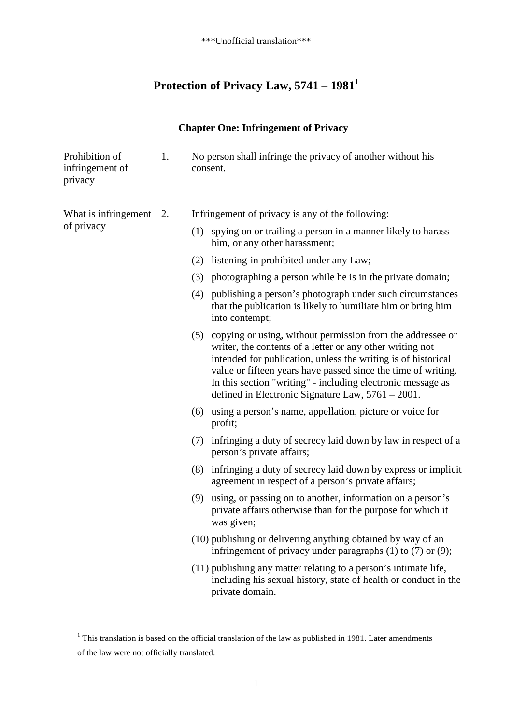# **Protection of Privacy Law, 5741 – 19811**

## **Chapter One: Infringement of Privacy**

| Prohibition of<br>infringement of<br>privacy | 1. | No person shall infringe the privacy of another without his<br>consent.                                                                                                                                                                                                                                                                                                              |
|----------------------------------------------|----|--------------------------------------------------------------------------------------------------------------------------------------------------------------------------------------------------------------------------------------------------------------------------------------------------------------------------------------------------------------------------------------|
| What is infringement<br>of privacy           | 2. | Infringement of privacy is any of the following:                                                                                                                                                                                                                                                                                                                                     |
|                                              |    | (1) spying on or trailing a person in a manner likely to harass<br>him, or any other harassment;                                                                                                                                                                                                                                                                                     |
|                                              |    | (2) listening-in prohibited under any Law;                                                                                                                                                                                                                                                                                                                                           |
|                                              |    | (3) photographing a person while he is in the private domain;                                                                                                                                                                                                                                                                                                                        |
|                                              |    | (4) publishing a person's photograph under such circumstances<br>that the publication is likely to humiliate him or bring him<br>into contempt;                                                                                                                                                                                                                                      |
|                                              |    | (5) copying or using, without permission from the addressee or<br>writer, the contents of a letter or any other writing not<br>intended for publication, unless the writing is of historical<br>value or fifteen years have passed since the time of writing.<br>In this section "writing" - including electronic message as<br>defined in Electronic Signature Law, $5761 - 2001$ . |
|                                              |    | (6) using a person's name, appellation, picture or voice for<br>profit;                                                                                                                                                                                                                                                                                                              |
|                                              |    | infringing a duty of secrecy laid down by law in respect of a<br>(7)<br>person's private affairs;                                                                                                                                                                                                                                                                                    |
|                                              |    | infringing a duty of secrecy laid down by express or implicit<br>(8)<br>agreement in respect of a person's private affairs;                                                                                                                                                                                                                                                          |
|                                              |    | (9) using, or passing on to another, information on a person's<br>private affairs otherwise than for the purpose for which it<br>was given;                                                                                                                                                                                                                                          |
|                                              |    | (10) publishing or delivering anything obtained by way of an<br>infringement of privacy under paragraphs $(1)$ to $(7)$ or $(9)$ ;                                                                                                                                                                                                                                                   |
|                                              |    | (11) publishing any matter relating to a person's intimate life,<br>including his sexual history, state of health or conduct in the<br>private domain.                                                                                                                                                                                                                               |

<sup>&</sup>lt;sup>1</sup> This translation is based on the official translation of the law as published in 1981. Later amendments of the law were not officially translated.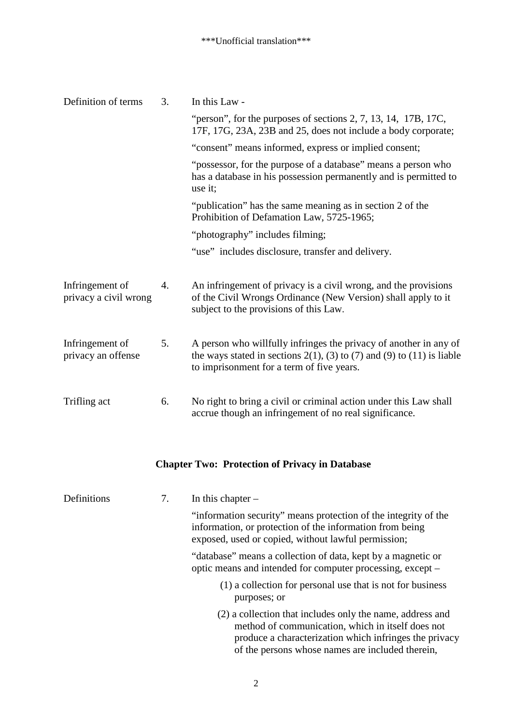| Definition of terms                      | 3. | In this Law -                                                                                                                                                                               |
|------------------------------------------|----|---------------------------------------------------------------------------------------------------------------------------------------------------------------------------------------------|
|                                          |    | "person", for the purposes of sections $2, 7, 13, 14, 17B, 17C$ ,<br>17F, 17G, 23A, 23B and 25, does not include a body corporate;                                                          |
|                                          |    | "consent" means informed, express or implied consent;                                                                                                                                       |
|                                          |    | "possessor, for the purpose of a database" means a person who<br>has a database in his possession permanently and is permitted to<br>use it;                                                |
|                                          |    | "publication" has the same meaning as in section 2 of the<br>Prohibition of Defamation Law, 5725-1965;                                                                                      |
|                                          |    | "photography" includes filming;                                                                                                                                                             |
|                                          |    | "use" includes disclosure, transfer and delivery.                                                                                                                                           |
|                                          |    |                                                                                                                                                                                             |
| Infringement of<br>privacy a civil wrong | 4. | An infringement of privacy is a civil wrong, and the provisions<br>of the Civil Wrongs Ordinance (New Version) shall apply to it<br>subject to the provisions of this Law.                  |
| Infringement of<br>privacy an offense    | 5. | A person who willfully infringes the privacy of another in any of<br>the ways stated in sections $2(1)$ , (3) to (7) and (9) to (11) is liable<br>to imprisonment for a term of five years. |
| Trifling act                             | 6. | No right to bring a civil or criminal action under this Law shall<br>accrue though an infringement of no real significance.                                                                 |

# **Chapter Two: Protection of Privacy in Database**

| Definitions<br>7. |  | In this chapter $-$                                                                                                                                                                                                          |  |  |
|-------------------|--|------------------------------------------------------------------------------------------------------------------------------------------------------------------------------------------------------------------------------|--|--|
|                   |  | "information security" means protection of the integrity of the<br>information, or protection of the information from being<br>exposed, used or copied, without lawful permission;                                           |  |  |
|                   |  | "database" means a collection of data, kept by a magnetic or<br>optic means and intended for computer processing, except –                                                                                                   |  |  |
|                   |  | (1) a collection for personal use that is not for business<br>purposes; or                                                                                                                                                   |  |  |
|                   |  | (2) a collection that includes only the name, address and<br>method of communication, which in itself does not<br>produce a characterization which infringes the privacy<br>of the persons whose names are included therein, |  |  |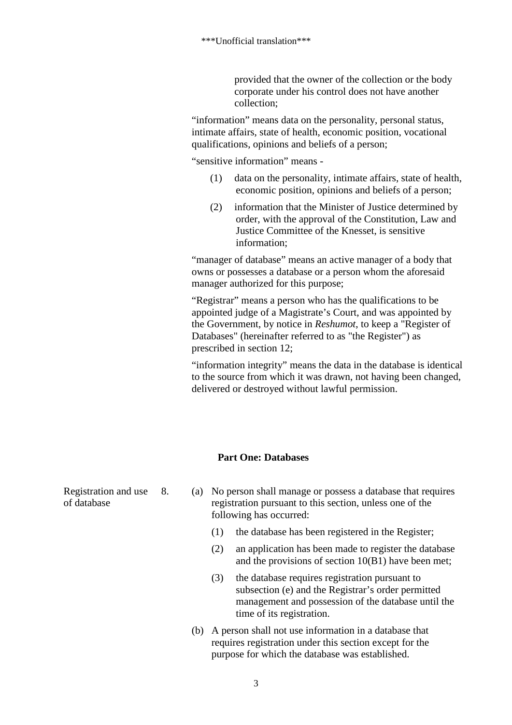provided that the owner of the collection or the body corporate under his control does not have another collection;

"information" means data on the personality, personal status, intimate affairs, state of health, economic position, vocational qualifications, opinions and beliefs of a person;

"sensitive information" means -

- (1) data on the personality, intimate affairs, state of health, economic position, opinions and beliefs of a person;
- (2) information that the Minister of Justice determined by order, with the approval of the Constitution, Law and Justice Committee of the Knesset, is sensitive information;

"manager of database" means an active manager of a body that owns or possesses a database or a person whom the aforesaid manager authorized for this purpose;

"Registrar" means a person who has the qualifications to be appointed judge of a Magistrate's Court, and was appointed by the Government, by notice in *Reshumot*, to keep a "Register of Databases" (hereinafter referred to as "the Register") as prescribed in section 12;

"information integrity" means the data in the database is identical to the source from which it was drawn, not having been changed, delivered or destroyed without lawful permission.

#### **Part One: Databases**

Registration and use of database

- 8. (a) No person shall manage or possess a database that requires registration pursuant to this section, unless one of the following has occurred:
	- (1) the database has been registered in the Register;
	- (2) an application has been made to register the database and the provisions of section 10(B1) have been met;
	- (3) the database requires registration pursuant to subsection (e) and the Registrar's order permitted management and possession of the database until the time of its registration.
	- (b) A person shall not use information in a database that requires registration under this section except for the purpose for which the database was established.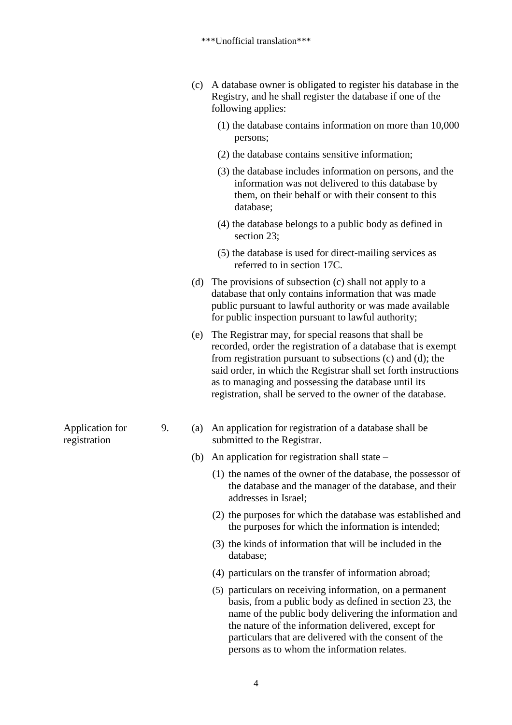|                                 |    | (c) | A database owner is obligated to register his database in the<br>Registry, and he shall register the database if one of the<br>following applies:                                                                                                                                                                                                                             |
|---------------------------------|----|-----|-------------------------------------------------------------------------------------------------------------------------------------------------------------------------------------------------------------------------------------------------------------------------------------------------------------------------------------------------------------------------------|
|                                 |    |     | $(1)$ the database contains information on more than 10,000<br>persons;                                                                                                                                                                                                                                                                                                       |
|                                 |    |     | (2) the database contains sensitive information;                                                                                                                                                                                                                                                                                                                              |
|                                 |    |     | (3) the database includes information on persons, and the<br>information was not delivered to this database by<br>them, on their behalf or with their consent to this<br>database;                                                                                                                                                                                            |
|                                 |    |     | (4) the database belongs to a public body as defined in<br>section 23;                                                                                                                                                                                                                                                                                                        |
|                                 |    |     | (5) the database is used for direct-mailing services as<br>referred to in section 17C.                                                                                                                                                                                                                                                                                        |
|                                 |    | (d) | The provisions of subsection (c) shall not apply to a<br>database that only contains information that was made<br>public pursuant to lawful authority or was made available<br>for public inspection pursuant to lawful authority;                                                                                                                                            |
|                                 |    | (e) | The Registrar may, for special reasons that shall be<br>recorded, order the registration of a database that is exempt<br>from registration pursuant to subsections (c) and (d); the<br>said order, in which the Registrar shall set forth instructions<br>as to managing and possessing the database until its<br>registration, shall be served to the owner of the database. |
| Application for<br>registration | 9. | (a) | An application for registration of a database shall be<br>submitted to the Registrar.                                                                                                                                                                                                                                                                                         |
|                                 |    | (b) | An application for registration shall state –                                                                                                                                                                                                                                                                                                                                 |
|                                 |    |     | (1) the names of the owner of the database, the possessor of<br>the database and the manager of the database, and their<br>addresses in Israel:                                                                                                                                                                                                                               |
|                                 |    |     | (2) the purposes for which the database was established and<br>the purposes for which the information is intended;                                                                                                                                                                                                                                                            |
|                                 |    |     | (3) the kinds of information that will be included in the<br>database;                                                                                                                                                                                                                                                                                                        |
|                                 |    |     | (4) particulars on the transfer of information abroad;                                                                                                                                                                                                                                                                                                                        |
|                                 |    |     | (5) particulars on receiving information, on a permanent<br>basis, from a public body as defined in section 23, the<br>name of the public body delivering the information and<br>the nature of the information delivered, except for                                                                                                                                          |

particulars that are delivered with the consent of the

persons as to whom the information relates.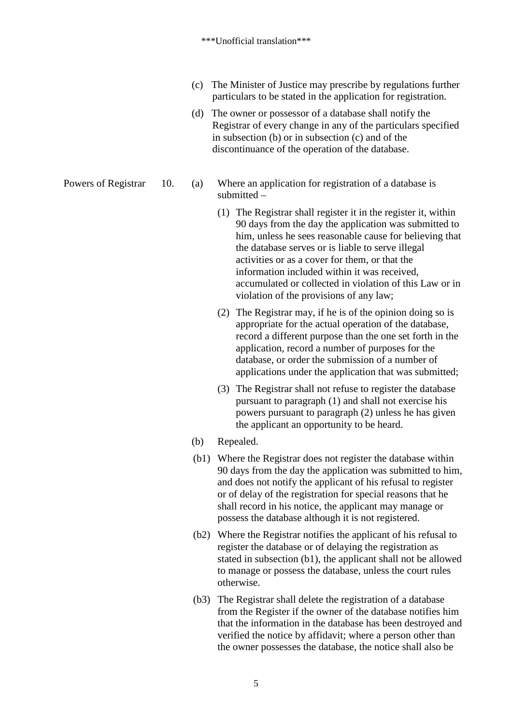- (c) The Minister of Justice may prescribe by regulations further particulars to be stated in the application for registration.
- (d) The owner or possessor of a database shall notify the Registrar of every change in any of the particulars specified in subsection (b) or in subsection (c) and of the discontinuance of the operation of the database.
- Powers of Registrar 10. (a) Where an application for registration of a database is submitted –
	- (1) The Registrar shall register it in the register it, within 90 days from the day the application was submitted to him, unless he sees reasonable cause for believing that the database serves or is liable to serve illegal activities or as a cover for them, or that the information included within it was received, accumulated or collected in violation of this Law or in violation of the provisions of any law;
	- (2) The Registrar may, if he is of the opinion doing so is appropriate for the actual operation of the database, record a different purpose than the one set forth in the application, record a number of purposes for the database, or order the submission of a number of applications under the application that was submitted;
	- (3) The Registrar shall not refuse to register the database pursuant to paragraph (1) and shall not exercise his powers pursuant to paragraph (2) unless he has given the applicant an opportunity to be heard.
	- (b) Repealed.
	- (b1) Where the Registrar does not register the database within 90 days from the day the application was submitted to him, and does not notify the applicant of his refusal to register or of delay of the registration for special reasons that he shall record in his notice, the applicant may manage or possess the database although it is not registered.
	- (b2) Where the Registrar notifies the applicant of his refusal to register the database or of delaying the registration as stated in subsection (b1), the applicant shall not be allowed to manage or possess the database, unless the court rules otherwise.
	- (b3) The Registrar shall delete the registration of a database from the Register if the owner of the database notifies him that the information in the database has been destroyed and verified the notice by affidavit; where a person other than the owner possesses the database, the notice shall also be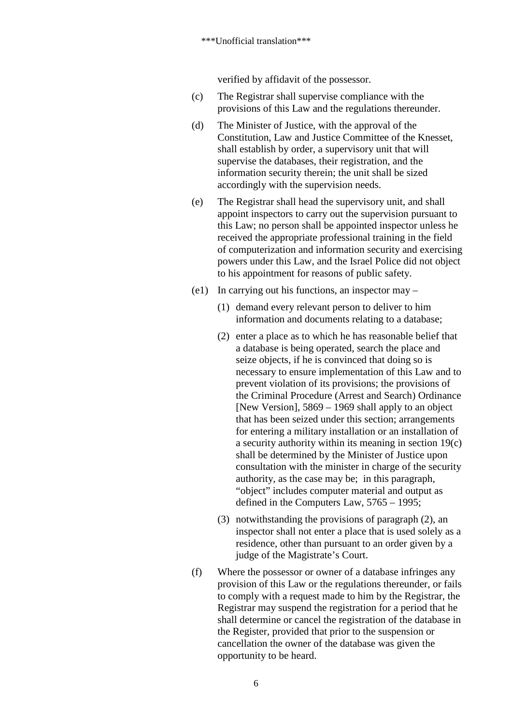verified by affidavit of the possessor.

- (c) The Registrar shall supervise compliance with the provisions of this Law and the regulations thereunder.
- (d) The Minister of Justice, with the approval of the Constitution, Law and Justice Committee of the Knesset, shall establish by order, a supervisory unit that will supervise the databases, their registration, and the information security therein; the unit shall be sized accordingly with the supervision needs.
- (e) The Registrar shall head the supervisory unit, and shall appoint inspectors to carry out the supervision pursuant to this Law; no person shall be appointed inspector unless he received the appropriate professional training in the field of computerization and information security and exercising powers under this Law, and the Israel Police did not object to his appointment for reasons of public safety.
- (e1) In carrying out his functions, an inspector may
	- (1) demand every relevant person to deliver to him information and documents relating to a database;
	- (2) enter a place as to which he has reasonable belief that a database is being operated, search the place and seize objects, if he is convinced that doing so is necessary to ensure implementation of this Law and to prevent violation of its provisions; the provisions of the Criminal Procedure (Arrest and Search) Ordinance [New Version], 5869 – 1969 shall apply to an object that has been seized under this section; arrangements for entering a military installation or an installation of a security authority within its meaning in section 19(c) shall be determined by the Minister of Justice upon consultation with the minister in charge of the security authority, as the case may be; in this paragraph, "object" includes computer material and output as defined in the Computers Law, 5765 – 1995;
	- (3) notwithstanding the provisions of paragraph (2), an inspector shall not enter a place that is used solely as a residence, other than pursuant to an order given by a judge of the Magistrate's Court.
- (f) Where the possessor or owner of a database infringes any provision of this Law or the regulations thereunder, or fails to comply with a request made to him by the Registrar, the Registrar may suspend the registration for a period that he shall determine or cancel the registration of the database in the Register, provided that prior to the suspension or cancellation the owner of the database was given the opportunity to be heard.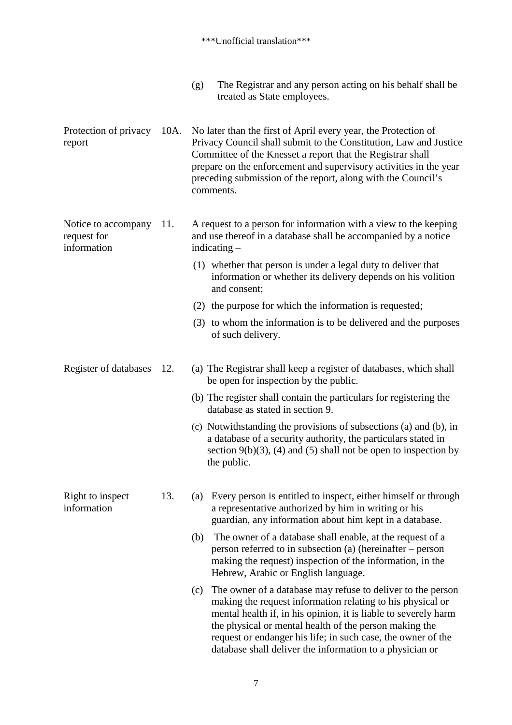| (g) | The Registrar and any person acting on his behalf shall be |
|-----|------------------------------------------------------------|
|     | treated as State employees.                                |

Protection of privacy report 10A. No later than the first of April every year, the Protection of Privacy Council shall submit to the Constitution, Law and Justice Committee of the Knesset a report that the Registrar shall prepare on the enforcement and supervisory activities in the year preceding submission of the report, along with the Council's comments.

#### Notice to accompany request for information 11. A request to a person for information with a view to the keeping and use thereof in a database shall be accompanied by a notice indicating –

- (1) whether that person is under a legal duty to deliver that information or whether its delivery depends on his volition and consent;
- (2) the purpose for which the information is requested;
- (3) to whom the information is to be delivered and the purposes of such delivery.

### Register of databases 12. (a) The Registrar shall keep a register of databases, which shall be open for inspection by the public.

- (b) The register shall contain the particulars for registering the database as stated in section 9.
- (c) Notwithstanding the provisions of subsections (a) and (b), in a database of a security authority, the particulars stated in section  $9(b)(3)$ , (4) and (5) shall not be open to inspection by the public.
- Right to inspect information 13. (a) Every person is entitled to inspect, either himself or through a representative authorized by him in writing or his guardian, any information about him kept in a database.
	- (b) The owner of a database shall enable, at the request of a person referred to in subsection (a) (hereinafter – person making the request) inspection of the information, in the Hebrew, Arabic or English language.
	- (c) The owner of a database may refuse to deliver to the person making the request information relating to his physical or mental health if, in his opinion, it is liable to severely harm the physical or mental health of the person making the request or endanger his life; in such case, the owner of the database shall deliver the information to a physician or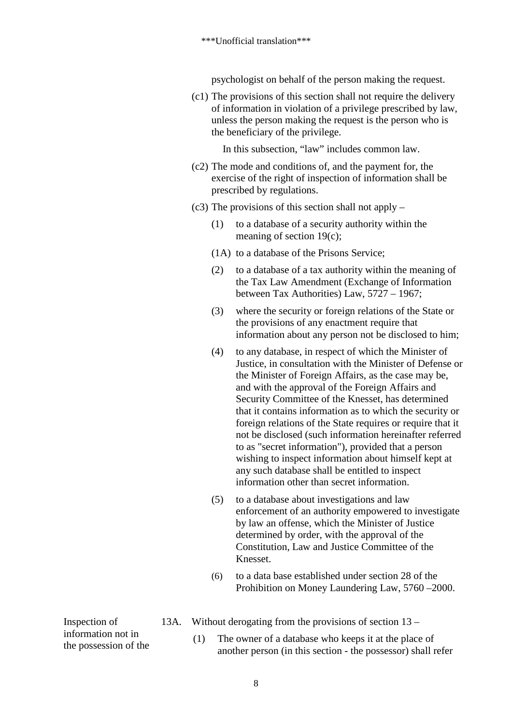psychologist on behalf of the person making the request.

(c1) The provisions of this section shall not require the delivery of information in violation of a privilege prescribed by law, unless the person making the request is the person who is the beneficiary of the privilege.

In this subsection, "law" includes common law.

- (c2) The mode and conditions of, and the payment for, the exercise of the right of inspection of information shall be prescribed by regulations.
- (c3) The provisions of this section shall not apply
	- (1) to a database of a security authority within the meaning of section 19(c);
	- (1A) to a database of the Prisons Service;
	- (2) to a database of a tax authority within the meaning of the Tax Law Amendment (Exchange of Information between Tax Authorities) Law, 5727 – 1967;
	- (3) where the security or foreign relations of the State or the provisions of any enactment require that information about any person not be disclosed to him;
	- (4) to any database, in respect of which the Minister of Justice, in consultation with the Minister of Defense or the Minister of Foreign Affairs, as the case may be, and with the approval of the Foreign Affairs and Security Committee of the Knesset, has determined that it contains information as to which the security or foreign relations of the State requires or require that it not be disclosed (such information hereinafter referred to as "secret information"), provided that a person wishing to inspect information about himself kept at any such database shall be entitled to inspect information other than secret information.
	- (5) to a database about investigations and law enforcement of an authority empowered to investigate by law an offense, which the Minister of Justice determined by order, with the approval of the Constitution, Law and Justice Committee of the Knesset.
	- (6) to a data base established under section 28 of the Prohibition on Money Laundering Law, 5760 –2000.
- 13A. Without derogating from the provisions of section 13 –

(1) The owner of a database who keeps it at the place of another person (in this section - the possessor) shall refer

Inspection of information not in the possession of the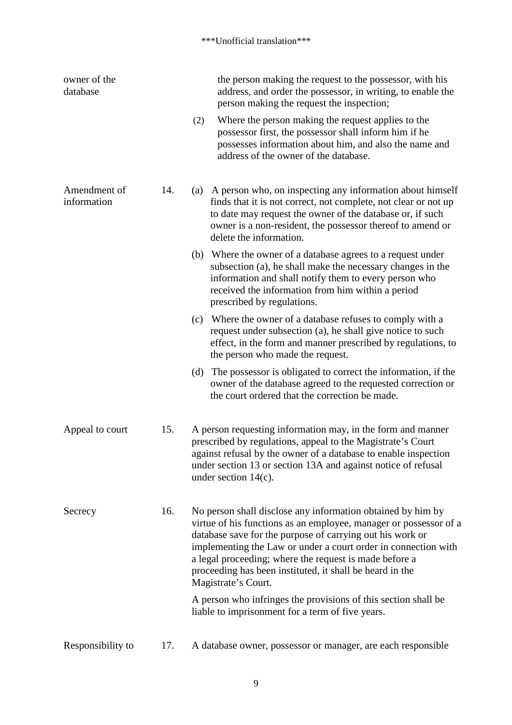| owner of the<br>database    |     | the person making the request to the possessor, with his<br>address, and order the possessor, in writing, to enable the<br>person making the request the inspection;                                                                                                                                                                                                                                         |
|-----------------------------|-----|--------------------------------------------------------------------------------------------------------------------------------------------------------------------------------------------------------------------------------------------------------------------------------------------------------------------------------------------------------------------------------------------------------------|
|                             |     | Where the person making the request applies to the<br>(2)<br>possessor first, the possessor shall inform him if he<br>possesses information about him, and also the name and<br>address of the owner of the database.                                                                                                                                                                                        |
| Amendment of<br>information | 14. | A person who, on inspecting any information about himself<br>(a)<br>finds that it is not correct, not complete, not clear or not up<br>to date may request the owner of the database or, if such<br>owner is a non-resident, the possessor thereof to amend or<br>delete the information.                                                                                                                    |
|                             |     | (b) Where the owner of a database agrees to a request under<br>subsection (a), he shall make the necessary changes in the<br>information and shall notify them to every person who<br>received the information from him within a period<br>prescribed by regulations.                                                                                                                                        |
|                             |     | (c) Where the owner of a database refuses to comply with a<br>request under subsection (a), he shall give notice to such<br>effect, in the form and manner prescribed by regulations, to<br>the person who made the request.                                                                                                                                                                                 |
|                             |     | The possessor is obligated to correct the information, if the<br>(d)<br>owner of the database agreed to the requested correction or<br>the court ordered that the correction be made.                                                                                                                                                                                                                        |
| Appeal to court             | 15. | A person requesting information may, in the form and manner<br>prescribed by regulations, appeal to the Magistrate's Court<br>against refusal by the owner of a database to enable inspection<br>under section 13 or section 13A and against notice of refusal<br>under section $14(c)$ .                                                                                                                    |
| Secrecy                     | 16. | No person shall disclose any information obtained by him by<br>virtue of his functions as an employee, manager or possessor of a<br>database save for the purpose of carrying out his work or<br>implementing the Law or under a court order in connection with<br>a legal proceeding; where the request is made before a<br>proceeding has been instituted, it shall be heard in the<br>Magistrate's Court. |
|                             |     | A person who infringes the provisions of this section shall be<br>liable to imprisonment for a term of five years.                                                                                                                                                                                                                                                                                           |
| Responsibility to           | 17. | A database owner, possessor or manager, are each responsible                                                                                                                                                                                                                                                                                                                                                 |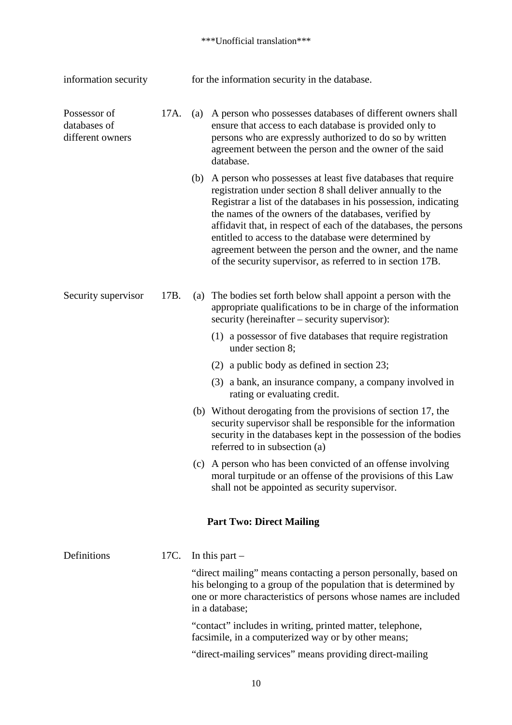| information security                             |      | for the information security in the database. |                                                                                                                                                                                                                                                                                                                                                                                                                                                                                                              |  |  |
|--------------------------------------------------|------|-----------------------------------------------|--------------------------------------------------------------------------------------------------------------------------------------------------------------------------------------------------------------------------------------------------------------------------------------------------------------------------------------------------------------------------------------------------------------------------------------------------------------------------------------------------------------|--|--|
| Possessor of<br>databases of<br>different owners | 17A. | (a)                                           | A person who possesses databases of different owners shall<br>ensure that access to each database is provided only to<br>persons who are expressly authorized to do so by written<br>agreement between the person and the owner of the said<br>database.                                                                                                                                                                                                                                                     |  |  |
|                                                  |      | (b)                                           | A person who possesses at least five databases that require<br>registration under section 8 shall deliver annually to the<br>Registrar a list of the databases in his possession, indicating<br>the names of the owners of the databases, verified by<br>affidavit that, in respect of each of the databases, the persons<br>entitled to access to the database were determined by<br>agreement between the person and the owner, and the name<br>of the security supervisor, as referred to in section 17B. |  |  |
| Security supervisor                              | 17B. | $\left( a\right)$                             | The bodies set forth below shall appoint a person with the<br>appropriate qualifications to be in charge of the information<br>security (hereinafter – security supervisor):                                                                                                                                                                                                                                                                                                                                 |  |  |
|                                                  |      |                                               | (1) a possessor of five databases that require registration<br>under section 8;                                                                                                                                                                                                                                                                                                                                                                                                                              |  |  |
|                                                  |      |                                               | (2) a public body as defined in section 23;                                                                                                                                                                                                                                                                                                                                                                                                                                                                  |  |  |
|                                                  |      |                                               | (3) a bank, an insurance company, a company involved in<br>rating or evaluating credit.                                                                                                                                                                                                                                                                                                                                                                                                                      |  |  |
|                                                  |      |                                               | (b) Without derogating from the provisions of section 17, the<br>security supervisor shall be responsible for the information<br>security in the databases kept in the possession of the bodies<br>referred to in subsection (a)                                                                                                                                                                                                                                                                             |  |  |
|                                                  |      |                                               | (c) A person who has been convicted of an offense involving<br>moral turpitude or an offense of the provisions of this Law<br>shall not be appointed as security supervisor.                                                                                                                                                                                                                                                                                                                                 |  |  |
|                                                  |      |                                               | <b>Part Two: Direct Mailing</b>                                                                                                                                                                                                                                                                                                                                                                                                                                                                              |  |  |
| Definitions                                      | 17C. |                                               | In this part $-$                                                                                                                                                                                                                                                                                                                                                                                                                                                                                             |  |  |
|                                                  |      |                                               | "direct mailing" means contacting a person personally, based on<br>his belonging to a group of the population that is determined by<br>one or more characteristics of persons whose names are included<br>in a database;                                                                                                                                                                                                                                                                                     |  |  |
|                                                  |      |                                               | "contact" includes in writing, printed matter, telephone,                                                                                                                                                                                                                                                                                                                                                                                                                                                    |  |  |

facsimile, in a computerized way or by other means;

"direct-mailing services" means providing direct-mailing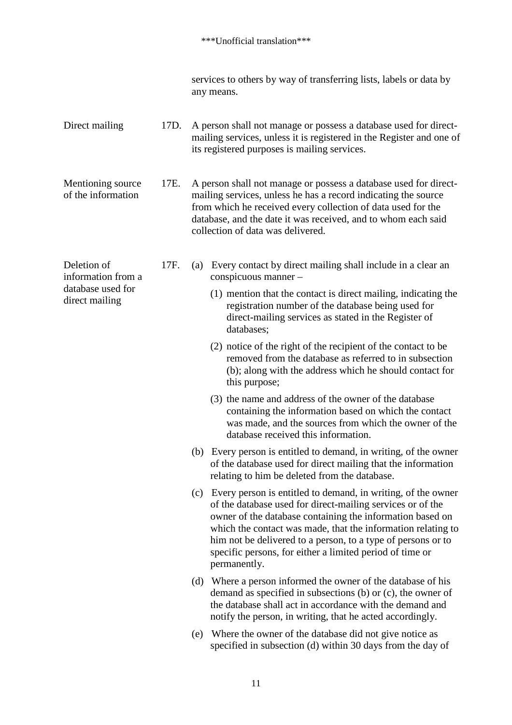services to others by way of transferring lists, labels or data by any means.

Direct mailing 17D. A person shall not manage or possess a database used for directmailing services, unless it is registered in the Register and one of its registered purposes is mailing services.

Mentioning source of the information 17E. A person shall not manage or possess a database used for directmailing services, unless he has a record indicating the source from which he received every collection of data used for the database, and the date it was received, and to whom each said collection of data was delivered.

Deletion of

information from a database used for direct mailing

- 17F. (a) Every contact by direct mailing shall include in a clear an conspicuous manner –
	- (1) mention that the contact is direct mailing, indicating the registration number of the database being used for direct-mailing services as stated in the Register of databases;
	- (2) notice of the right of the recipient of the contact to be removed from the database as referred to in subsection (b); along with the address which he should contact for this purpose;
	- (3) the name and address of the owner of the database containing the information based on which the contact was made, and the sources from which the owner of the database received this information.
	- (b) Every person is entitled to demand, in writing, of the owner of the database used for direct mailing that the information relating to him be deleted from the database.
	- (c) Every person is entitled to demand, in writing, of the owner of the database used for direct-mailing services or of the owner of the database containing the information based on which the contact was made, that the information relating to him not be delivered to a person, to a type of persons or to specific persons, for either a limited period of time or permanently.
	- (d) Where a person informed the owner of the database of his demand as specified in subsections (b) or (c), the owner of the database shall act in accordance with the demand and notify the person, in writing, that he acted accordingly.
	- (e) Where the owner of the database did not give notice as specified in subsection (d) within 30 days from the day of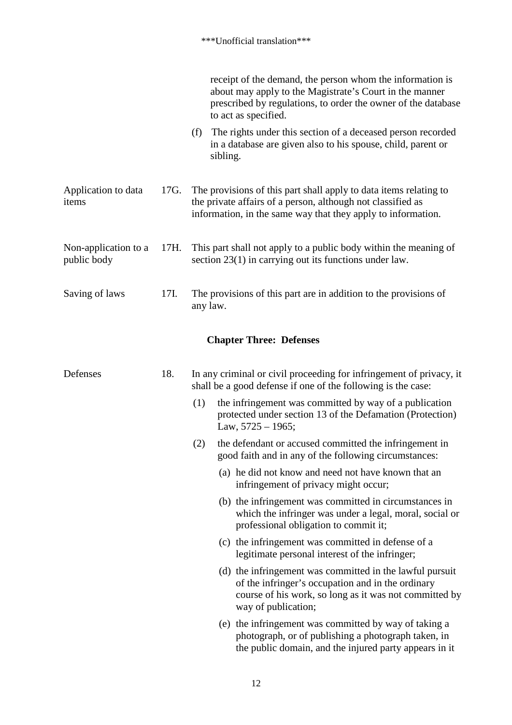|                                     |      | receipt of the demand, the person whom the information is<br>about may apply to the Magistrate's Court in the manner<br>prescribed by regulations, to order the owner of the database<br>to act as specified. |
|-------------------------------------|------|---------------------------------------------------------------------------------------------------------------------------------------------------------------------------------------------------------------|
|                                     |      | The rights under this section of a deceased person recorded<br>(f)<br>in a database are given also to his spouse, child, parent or<br>sibling.                                                                |
| Application to data<br>items        | 17G. | The provisions of this part shall apply to data items relating to<br>the private affairs of a person, although not classified as<br>information, in the same way that they apply to information.              |
| Non-application to a<br>public body | 17H. | This part shall not apply to a public body within the meaning of<br>section 23(1) in carrying out its functions under law.                                                                                    |
| Saving of laws                      | 17I. | The provisions of this part are in addition to the provisions of<br>any law.                                                                                                                                  |
|                                     |      | <b>Chapter Three: Defenses</b>                                                                                                                                                                                |
| Defenses                            | 18.  | In any criminal or civil proceeding for infringement of privacy, it<br>shall be a good defense if one of the following is the case:                                                                           |
|                                     |      | the infringement was committed by way of a publication<br>(1)<br>protected under section 13 of the Defamation (Protection)<br>Law, $5725 - 1965$ ;                                                            |
|                                     |      | (2)<br>the defendant or accused committed the infringement in<br>good faith and in any of the following circumstances:                                                                                        |
|                                     |      | (a) he did not know and need not have known that an<br>infringement of privacy might occur;                                                                                                                   |
|                                     |      | (b) the infringement was committed in circumstances in<br>which the infringer was under a legal, moral, social or<br>professional obligation to commit it;                                                    |
|                                     |      | (c) the infringement was committed in defense of a<br>legitimate personal interest of the infringer;                                                                                                          |
|                                     |      | (d) the infringement was committed in the lawful pursuit<br>of the infringer's occupation and in the ordinary<br>course of his work, so long as it was not committed by<br>way of publication;                |
|                                     |      | (e) the infringement was committed by way of taking a<br>photograph, or of publishing a photograph taken, in<br>the public domain, and the injured party appears in it                                        |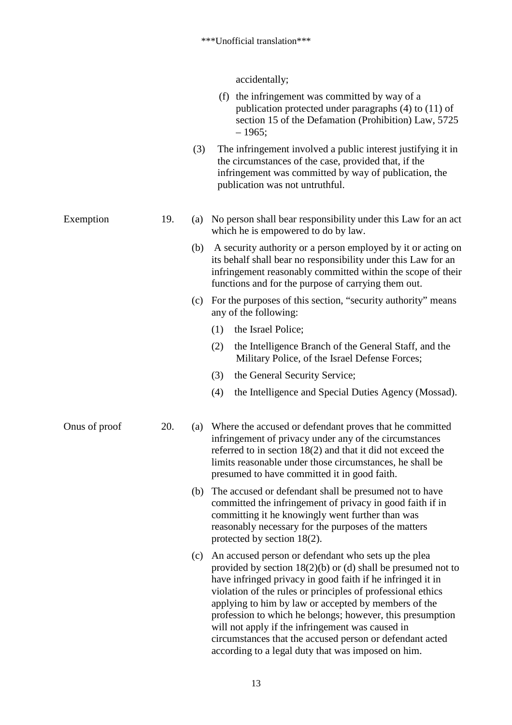accidentally;

|               |     |     | (f) the infringement was committed by way of a<br>publication protected under paragraphs (4) to (11) of<br>section 15 of the Defamation (Prohibition) Law, 5725<br>$-1965;$                                                                                                                                                                                                                                                                                                                                                                   |
|---------------|-----|-----|-----------------------------------------------------------------------------------------------------------------------------------------------------------------------------------------------------------------------------------------------------------------------------------------------------------------------------------------------------------------------------------------------------------------------------------------------------------------------------------------------------------------------------------------------|
|               |     | (3) | The infringement involved a public interest justifying it in<br>the circumstances of the case, provided that, if the<br>infringement was committed by way of publication, the<br>publication was not untruthful.                                                                                                                                                                                                                                                                                                                              |
| Exemption     | 19. | (a) | No person shall bear responsibility under this Law for an act<br>which he is empowered to do by law.                                                                                                                                                                                                                                                                                                                                                                                                                                          |
|               |     | (b) | A security authority or a person employed by it or acting on<br>its behalf shall bear no responsibility under this Law for an<br>infringement reasonably committed within the scope of their<br>functions and for the purpose of carrying them out.                                                                                                                                                                                                                                                                                           |
|               |     | (c) | For the purposes of this section, "security authority" means<br>any of the following:                                                                                                                                                                                                                                                                                                                                                                                                                                                         |
|               |     |     | the Israel Police;<br>(1)                                                                                                                                                                                                                                                                                                                                                                                                                                                                                                                     |
|               |     |     | (2)<br>the Intelligence Branch of the General Staff, and the<br>Military Police, of the Israel Defense Forces;                                                                                                                                                                                                                                                                                                                                                                                                                                |
|               |     |     | the General Security Service;<br>(3)                                                                                                                                                                                                                                                                                                                                                                                                                                                                                                          |
|               |     |     | the Intelligence and Special Duties Agency (Mossad).<br>(4)                                                                                                                                                                                                                                                                                                                                                                                                                                                                                   |
| Onus of proof | 20. | (a) | Where the accused or defendant proves that he committed<br>infringement of privacy under any of the circumstances<br>referred to in section $18(2)$ and that it did not exceed the<br>limits reasonable under those circumstances, he shall be<br>presumed to have committed it in good faith.                                                                                                                                                                                                                                                |
|               |     |     | (b) The accused or defendant shall be presumed not to have<br>committed the infringement of privacy in good faith if in<br>committing it he knowingly went further than was<br>reasonably necessary for the purposes of the matters<br>protected by section $18(2)$ .                                                                                                                                                                                                                                                                         |
|               |     | (c) | An accused person or defendant who sets up the plea<br>provided by section $18(2)(b)$ or (d) shall be presumed not to<br>have infringed privacy in good faith if he infringed it in<br>violation of the rules or principles of professional ethics<br>applying to him by law or accepted by members of the<br>profession to which he belongs; however, this presumption<br>will not apply if the infringement was caused in<br>circumstances that the accused person or defendant acted<br>according to a legal duty that was imposed on him. |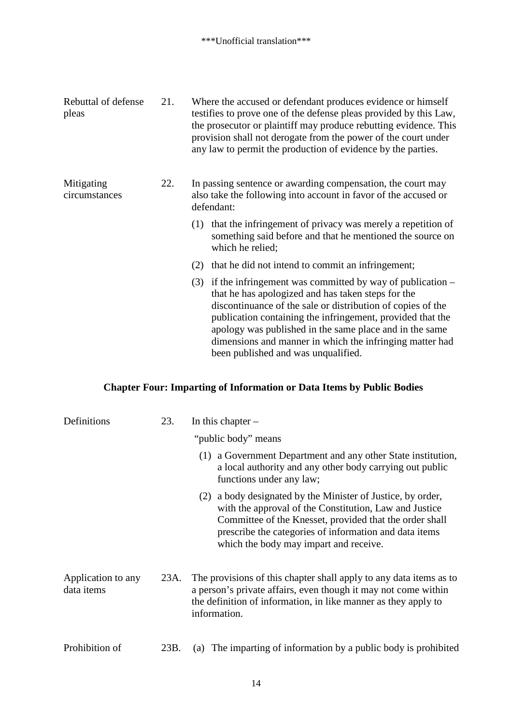| Rebuttal of defense<br>pleas | 21. | Where the accused or defendant produces evidence or himself<br>testifies to prove one of the defense pleas provided by this Law,<br>the prosecutor or plaintiff may produce rebutting evidence. This<br>provision shall not derogate from the power of the court under<br>any law to permit the production of evidence by the parties.                                                                              |  |  |
|------------------------------|-----|---------------------------------------------------------------------------------------------------------------------------------------------------------------------------------------------------------------------------------------------------------------------------------------------------------------------------------------------------------------------------------------------------------------------|--|--|
| Mitigating<br>circumstances  | 22. | In passing sentence or awarding compensation, the court may<br>also take the following into account in favor of the accused or<br>defendant:                                                                                                                                                                                                                                                                        |  |  |
|                              |     | that the infringement of privacy was merely a repetition of<br>(1)<br>something said before and that he mentioned the source on<br>which he relied;                                                                                                                                                                                                                                                                 |  |  |
|                              |     | that he did not intend to commit an infringement;<br>(2)                                                                                                                                                                                                                                                                                                                                                            |  |  |
|                              |     | if the infringement was committed by way of publication $-$<br>(3)<br>that he has apologized and has taken steps for the<br>discontinuance of the sale or distribution of copies of the<br>publication containing the infringement, provided that the<br>apology was published in the same place and in the same<br>dimensions and manner in which the infringing matter had<br>been published and was unqualified. |  |  |

# **Chapter Four: Imparting of Information or Data Items by Public Bodies**

| Definitions                      | 23.  | In this chapter $-$                                                                                                                                                                                                                                                                     |  |  |
|----------------------------------|------|-----------------------------------------------------------------------------------------------------------------------------------------------------------------------------------------------------------------------------------------------------------------------------------------|--|--|
|                                  |      | "public body" means                                                                                                                                                                                                                                                                     |  |  |
|                                  |      | a Government Department and any other State institution,<br>(1)<br>a local authority and any other body carrying out public<br>functions under any law;                                                                                                                                 |  |  |
|                                  |      | a body designated by the Minister of Justice, by order,<br>(2)<br>with the approval of the Constitution, Law and Justice<br>Committee of the Knesset, provided that the order shall<br>prescribe the categories of information and data items<br>which the body may impart and receive. |  |  |
| Application to any<br>data items | 23A. | The provisions of this chapter shall apply to any data items as to<br>a person's private affairs, even though it may not come within<br>the definition of information, in like manner as they apply to<br>information.                                                                  |  |  |
| Prohibition of                   | 23B. | (a) The imparting of information by a public body is prohibited                                                                                                                                                                                                                         |  |  |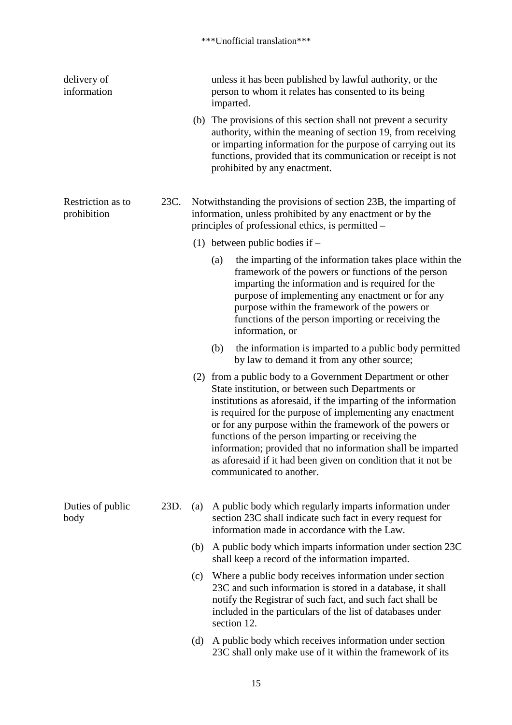| delivery of<br>information       |      |     | unless it has been published by lawful authority, or the<br>person to whom it relates has consented to its being<br>imparted.                                                                                                                                                                                                                                                                                                                                                                                                |
|----------------------------------|------|-----|------------------------------------------------------------------------------------------------------------------------------------------------------------------------------------------------------------------------------------------------------------------------------------------------------------------------------------------------------------------------------------------------------------------------------------------------------------------------------------------------------------------------------|
|                                  |      |     | (b) The provisions of this section shall not prevent a security<br>authority, within the meaning of section 19, from receiving<br>or imparting information for the purpose of carrying out its<br>functions, provided that its communication or receipt is not<br>prohibited by any enactment.                                                                                                                                                                                                                               |
| Restriction as to<br>prohibition | 23C. |     | Notwithstanding the provisions of section 23B, the imparting of<br>information, unless prohibited by any enactment or by the<br>principles of professional ethics, is permitted –                                                                                                                                                                                                                                                                                                                                            |
|                                  |      |     | (1) between public bodies if $-$                                                                                                                                                                                                                                                                                                                                                                                                                                                                                             |
|                                  |      |     | the imparting of the information takes place within the<br>(a)<br>framework of the powers or functions of the person<br>imparting the information and is required for the<br>purpose of implementing any enactment or for any<br>purpose within the framework of the powers or<br>functions of the person importing or receiving the<br>information, or                                                                                                                                                                      |
|                                  |      |     | the information is imparted to a public body permitted<br>(b)<br>by law to demand it from any other source;                                                                                                                                                                                                                                                                                                                                                                                                                  |
|                                  |      |     | (2) from a public body to a Government Department or other<br>State institution, or between such Departments or<br>institutions as aforesaid, if the imparting of the information<br>is required for the purpose of implementing any enactment<br>or for any purpose within the framework of the powers or<br>functions of the person imparting or receiving the<br>information; provided that no information shall be imparted<br>as aforesaid if it had been given on condition that it not be<br>communicated to another. |
| Duties of public<br>body         | 23D. | (a) | A public body which regularly imparts information under<br>section 23C shall indicate such fact in every request for<br>information made in accordance with the Law.                                                                                                                                                                                                                                                                                                                                                         |
|                                  |      | (b) | A public body which imparts information under section 23C<br>shall keep a record of the information imparted.                                                                                                                                                                                                                                                                                                                                                                                                                |
|                                  |      | (c) | Where a public body receives information under section<br>23C and such information is stored in a database, it shall<br>notify the Registrar of such fact, and such fact shall be<br>included in the particulars of the list of databases under<br>section 12.                                                                                                                                                                                                                                                               |
|                                  |      | (d) | A public body which receives information under section<br>23C shall only make use of it within the framework of its                                                                                                                                                                                                                                                                                                                                                                                                          |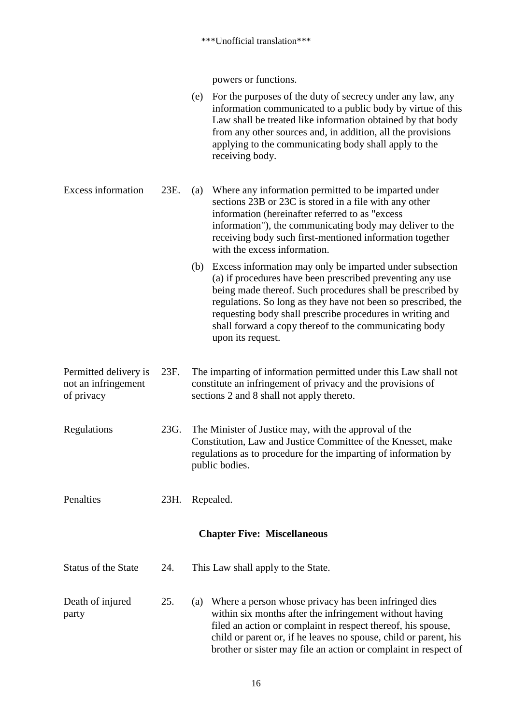powers or functions.

- (e) For the purposes of the duty of secrecy under any law, any information communicated to a public body by virtue of this Law shall be treated like information obtained by that body from any other sources and, in addition, all the provisions applying to the communicating body shall apply to the receiving body.
- Excess information 23E. (a) Where any information permitted to be imparted under sections 23B or 23C is stored in a file with any other information (hereinafter referred to as "excess information"), the communicating body may deliver to the receiving body such first-mentioned information together with the excess information.
	- (b) Excess information may only be imparted under subsection (a) if procedures have been prescribed preventing any use being made thereof. Such procedures shall be prescribed by regulations. So long as they have not been so prescribed, the requesting body shall prescribe procedures in writing and shall forward a copy thereof to the communicating body upon its request.
- Permitted delivery is not an infringement of privacy 23F. The imparting of information permitted under this Law shall not constitute an infringement of privacy and the provisions of sections 2 and 8 shall not apply thereto.
- Regulations 23G. The Minister of Justice may, with the approval of the Constitution, Law and Justice Committee of the Knesset, make regulations as to procedure for the imparting of information by public bodies.
- Penalties 23H. Repealed.

#### **Chapter Five: Miscellaneous**

- Status of the State 24. This Law shall apply to the State.
- Death of injured party 25. (a) Where a person whose privacy has been infringed dies within six months after the infringement without having filed an action or complaint in respect thereof, his spouse, child or parent or, if he leaves no spouse, child or parent, his brother or sister may file an action or complaint in respect of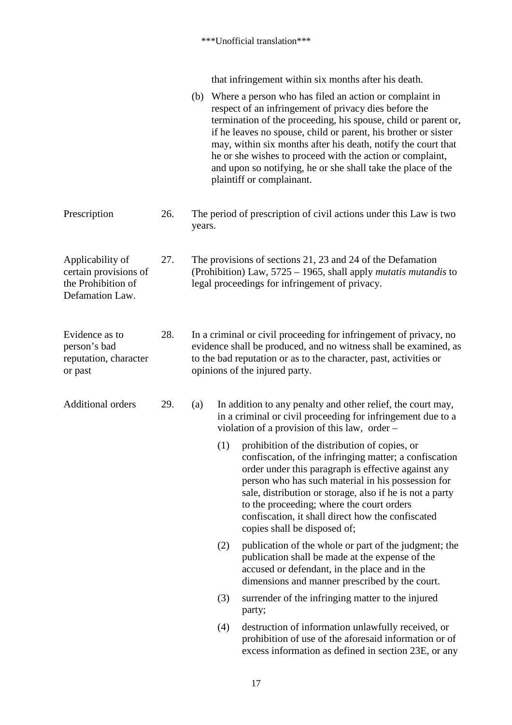that infringement within six months after his death.

|                                                                                    |     |                                                                                                                                                                                                                                              |     | (b) Where a person who has filed an action or complaint in<br>respect of an infringement of privacy dies before the<br>termination of the proceeding, his spouse, child or parent or,<br>if he leaves no spouse, child or parent, his brother or sister<br>may, within six months after his death, notify the court that<br>he or she wishes to proceed with the action or complaint,<br>and upon so notifying, he or she shall take the place of the<br>plaintiff or complainant. |  |
|------------------------------------------------------------------------------------|-----|----------------------------------------------------------------------------------------------------------------------------------------------------------------------------------------------------------------------------------------------|-----|------------------------------------------------------------------------------------------------------------------------------------------------------------------------------------------------------------------------------------------------------------------------------------------------------------------------------------------------------------------------------------------------------------------------------------------------------------------------------------|--|
| Prescription                                                                       | 26. | The period of prescription of civil actions under this Law is two<br>years.                                                                                                                                                                  |     |                                                                                                                                                                                                                                                                                                                                                                                                                                                                                    |  |
| Applicability of<br>certain provisions of<br>the Prohibition of<br>Defamation Law. | 27. | The provisions of sections 21, 23 and 24 of the Defamation<br>(Prohibition) Law, $5725 - 1965$ , shall apply <i>mutatis mutandis</i> to<br>legal proceedings for infringement of privacy.                                                    |     |                                                                                                                                                                                                                                                                                                                                                                                                                                                                                    |  |
| Evidence as to<br>person's bad<br>reputation, character<br>or past                 | 28. | In a criminal or civil proceeding for infringement of privacy, no<br>evidence shall be produced, and no witness shall be examined, as<br>to the bad reputation or as to the character, past, activities or<br>opinions of the injured party. |     |                                                                                                                                                                                                                                                                                                                                                                                                                                                                                    |  |
| <b>Additional orders</b>                                                           | 29. | (a)                                                                                                                                                                                                                                          |     | In addition to any penalty and other relief, the court may,<br>in a criminal or civil proceeding for infringement due to a<br>violation of a provision of this law, order $-$                                                                                                                                                                                                                                                                                                      |  |
|                                                                                    |     |                                                                                                                                                                                                                                              | (1) | prohibition of the distribution of copies, or<br>confiscation, of the infringing matter; a confiscation<br>order under this paragraph is effective against any<br>person who has such material in his possession for<br>sale, distribution or storage, also if he is not a party<br>to the proceeding; where the court orders<br>confiscation, it shall direct how the confiscated<br>copies shall be disposed of;                                                                 |  |
|                                                                                    |     |                                                                                                                                                                                                                                              | (2) | publication of the whole or part of the judgment; the<br>publication shall be made at the expense of the<br>accused or defendant, in the place and in the<br>dimensions and manner prescribed by the court.                                                                                                                                                                                                                                                                        |  |
|                                                                                    |     |                                                                                                                                                                                                                                              | (3) | surrender of the infringing matter to the injured<br>party;                                                                                                                                                                                                                                                                                                                                                                                                                        |  |
|                                                                                    |     |                                                                                                                                                                                                                                              | (4) | destruction of information unlawfully received, or<br>prohibition of use of the aforesaid information or of<br>excess information as defined in section 23E, or any                                                                                                                                                                                                                                                                                                                |  |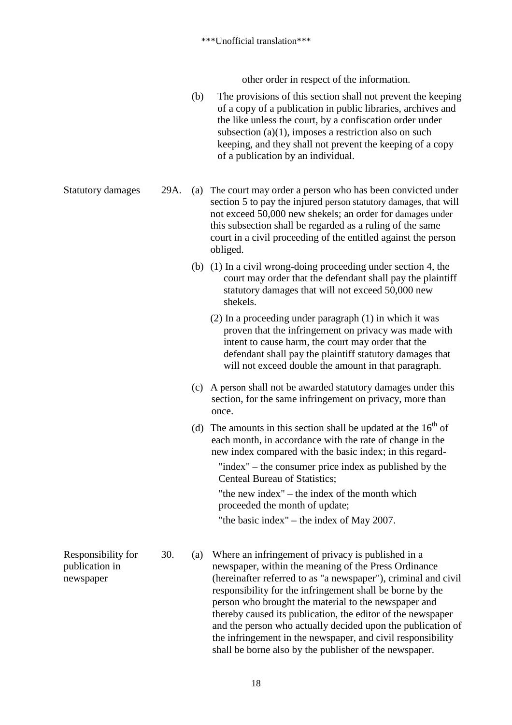other order in respect of the information.

(b) The provisions of this section shall not prevent the keeping of a copy of a publication in public libraries, archives and the like unless the court, by a confiscation order under subsection (a)(1), imposes a restriction also on such keeping, and they shall not prevent the keeping of a copy of a publication by an individual.

Statutory damages 29A. (a) The court may order a person who has been convicted under section 5 to pay the injured person statutory damages, that will not exceed 50,000 new shekels; an order for damages under this subsection shall be regarded as a ruling of the same court in a civil proceeding of the entitled against the person obliged.

- (b) (1) In a civil wrong-doing proceeding under section 4, the court may order that the defendant shall pay the plaintiff statutory damages that will not exceed 50,000 new shekels.
	- (2) In a proceeding under paragraph (1) in which it was proven that the infringement on privacy was made with intent to cause harm, the court may order that the defendant shall pay the plaintiff statutory damages that will not exceed double the amount in that paragraph.
- (c) A person shall not be awarded statutory damages under this section, for the same infringement on privacy, more than once.
- (d) The amounts in this section shall be updated at the  $16<sup>th</sup>$  of each month, in accordance with the rate of change in the new index compared with the basic index; in this regard-

"index" – the consumer price index as published by the Centeal Bureau of Statistics;

"the new index" – the index of the month which proceeded the month of update;

"the basic index" – the index of May 2007.

30. (a) Where an infringement of privacy is published in a newspaper, within the meaning of the Press Ordinance (hereinafter referred to as "a newspaper"), criminal and civil responsibility for the infringement shall be borne by the person who brought the material to the newspaper and thereby caused its publication, the editor of the newspaper and the person who actually decided upon the publication of the infringement in the newspaper, and civil responsibility shall be borne also by the publisher of the newspaper.

Responsibility for publication in newspaper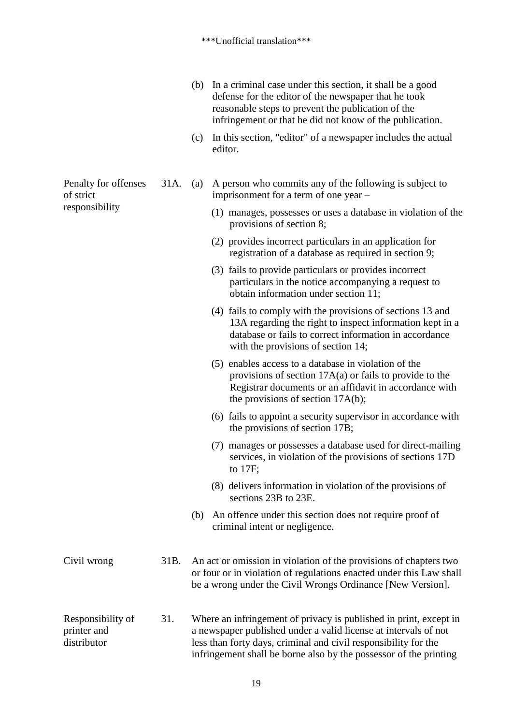- (b) In a criminal case under this section, it shall be a good defense for the editor of the newspaper that he took reasonable steps to prevent the publication of the infringement or that he did not know of the publication.
- (c) In this section, "editor" of a newspaper includes the actual editor.

31A. (a) A person who commits any of the following is subject to imprisonment for a term of one year –

- (1) manages, possesses or uses a database in violation of the provisions of section 8;
- (2) provides incorrect particulars in an application for registration of a database as required in section 9;
- (3) fails to provide particulars or provides incorrect particulars in the notice accompanying a request to obtain information under section 11;
- (4) fails to comply with the provisions of sections 13 and 13A regarding the right to inspect information kept in a database or fails to correct information in accordance with the provisions of section 14;
- (5) enables access to a database in violation of the provisions of section 17A(a) or fails to provide to the Registrar documents or an affidavit in accordance with the provisions of section 17A(b);
- (6) fails to appoint a security supervisor in accordance with the provisions of section 17B;
- (7) manages or possesses a database used for direct-mailing services, in violation of the provisions of sections 17D to 17F;
- (8) delivers information in violation of the provisions of sections 23B to 23E.
- (b) An offence under this section does not require proof of criminal intent or negligence.

Civil wrong 31B. An act or omission in violation of the provisions of chapters two or four or in violation of regulations enacted under this Law shall be a wrong under the Civil Wrongs Ordinance [New Version].

Responsibility of printer and distributor 31. Where an infringement of privacy is published in print, except in a newspaper published under a valid license at intervals of not less than forty days, criminal and civil responsibility for the infringement shall be borne also by the possessor of the printing

Penalty for offenses of strict responsibility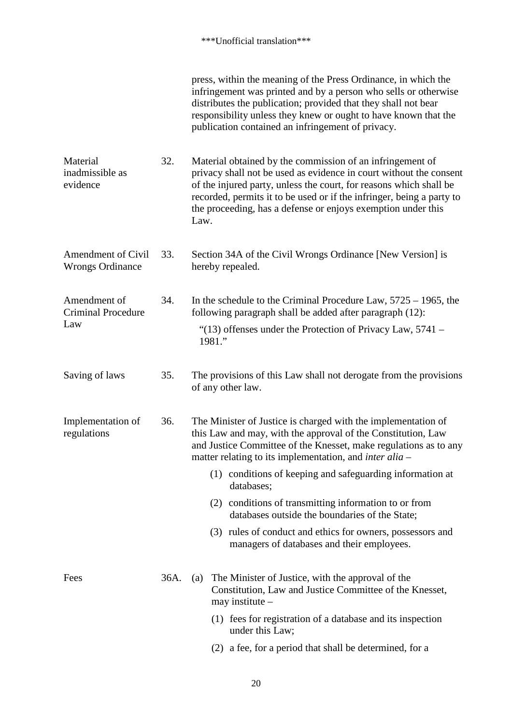|                                                      |      | press, within the meaning of the Press Ordinance, in which the<br>infringement was printed and by a person who sells or otherwise<br>distributes the publication; provided that they shall not bear<br>responsibility unless they knew or ought to have known that the<br>publication contained an infringement of privacy.                            |  |  |
|------------------------------------------------------|------|--------------------------------------------------------------------------------------------------------------------------------------------------------------------------------------------------------------------------------------------------------------------------------------------------------------------------------------------------------|--|--|
| Material<br>inadmissible as<br>evidence              | 32.  | Material obtained by the commission of an infringement of<br>privacy shall not be used as evidence in court without the consent<br>of the injured party, unless the court, for reasons which shall be<br>recorded, permits it to be used or if the infringer, being a party to<br>the proceeding, has a defense or enjoys exemption under this<br>Law. |  |  |
| <b>Amendment of Civil</b><br><b>Wrongs Ordinance</b> | 33.  | Section 34A of the Civil Wrongs Ordinance [New Version] is<br>hereby repealed.                                                                                                                                                                                                                                                                         |  |  |
| Amendment of<br><b>Criminal Procedure</b><br>Law     | 34.  | In the schedule to the Criminal Procedure Law, $5725 - 1965$ , the<br>following paragraph shall be added after paragraph (12):<br>"(13) offenses under the Protection of Privacy Law, $5741 -$<br>1981."                                                                                                                                               |  |  |
| Saving of laws                                       | 35.  | The provisions of this Law shall not derogate from the provisions<br>of any other law.                                                                                                                                                                                                                                                                 |  |  |
| Implementation of<br>36.<br>regulations              |      | The Minister of Justice is charged with the implementation of<br>this Law and may, with the approval of the Constitution, Law<br>and Justice Committee of the Knesset, make regulations as to any<br>matter relating to its implementation, and <i>inter alia</i> –                                                                                    |  |  |
|                                                      |      | (1) conditions of keeping and safeguarding information at<br>databases;                                                                                                                                                                                                                                                                                |  |  |
|                                                      |      | (2) conditions of transmitting information to or from<br>databases outside the boundaries of the State;                                                                                                                                                                                                                                                |  |  |
|                                                      |      | (3) rules of conduct and ethics for owners, possessors and<br>managers of databases and their employees.                                                                                                                                                                                                                                               |  |  |
| Fees                                                 | 36A. | The Minister of Justice, with the approval of the<br>(a)<br>Constitution, Law and Justice Committee of the Knesset,<br>may institute $-$                                                                                                                                                                                                               |  |  |
|                                                      |      | (1) fees for registration of a database and its inspection<br>under this Law;                                                                                                                                                                                                                                                                          |  |  |
|                                                      |      | (2) a fee, for a period that shall be determined, for a                                                                                                                                                                                                                                                                                                |  |  |